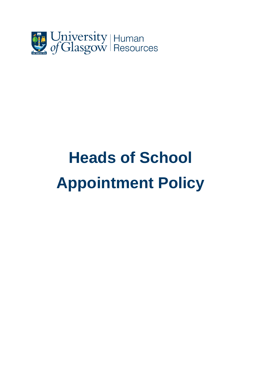

# **Heads of School Appointment Policy**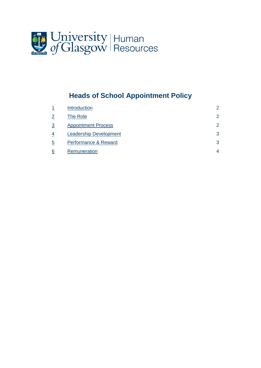

# **Heads of School Appointment Policy**

|                | <b>Introduction</b>           | $\mathcal{P}$ |
|----------------|-------------------------------|---------------|
| $\overline{2}$ | The Role                      | 2             |
| $\overline{3}$ | <b>Appointment Process</b>    | $\mathcal{P}$ |
| 4              | <b>Leadership Development</b> | 3             |
| 5              | Performance & Reward          | 3             |
| 6              | Remuneration                  | 4             |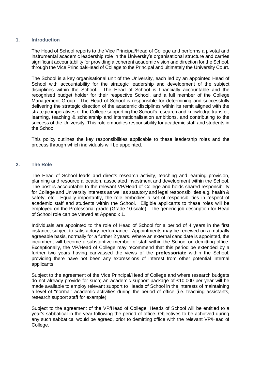# **1. Introduction**

The Head of School reports to the Vice Principal/Head of College and performs a pivotal and instrumental academic leadership role in the University's organisational structure and carries significant accountability for providing a coherent academic vision and direction for the School, through the Vice Principal/Head of College to the Principal and ultimately the University Court.

The School is a key organisational unit of the University, each led by an appointed Head of School with accountability for the strategic leadership and development of the subject disciplines within the School. The Head of School is financially accountable and the recognised budget holder for their respective School, and a full member of the College Management Group. The Head of School is responsible for determining and successfully delivering the strategic direction of the academic disciplines within its remit aligned with the strategic imperatives of the College supporting the School's research and knowledge transfer; learning, teaching & scholarship and internationalisation ambitions, and contributing to the success of the University. This role embodies responsibility for academic staff and students in the School.

This policy outlines the key responsibilities applicable to these leadership roles and the process through which individuals will be appointed.

### **2. The Role**

The Head of School leads and directs research activity, teaching and learning provision, planning and resource allocation, associated investment and development within the School. The post is accountable to the relevant VP/Head of College and holds shared responsibility for College and University interests as well as statutory and legal responsibilities e.g. health & safety, etc. Equally importantly, the role embodies a set of responsibilities in respect of academic staff and students within the School. Eligible applicants to these roles will be employed on the Professorial grade (Grade 10 scale). The generic job description for Head of School role can be viewed at Appendix 1.

Individuals are appointed to the role of Head of School for a period of 4 years in the first instance, subject to satisfactory performance. Appointments may be renewed on a mutually agreeable basis, normally for a further 2 years. Where an external candidate is appointed, the incumbent will become a substantive member of staff within the School on demitting office. Exceptionally, the VP/Head of College may recommend that this period be extended by a further two years having canvassed the views of the **professoriate** within the School, providing there have not been any expressions of interest from other potential internal applicants.

Subject to the agreement of the Vice Principal/Head of College and where research budgets do not already provide for such; an academic support package of £10,000 per year will be made available to employ relevant support to Heads of School in the interests of maintaining a level of "normal" academic activities during the period of office (i.e. teaching assistants, research support staff for example).

Subject to the agreement of the VP/Head of College, Heads of School will be entitled to a year's sabbatical in the year following the period of office. Objectives to be achieved during any such sabbatical would be agreed, prior to demitting office with the relevant VP/Head of College.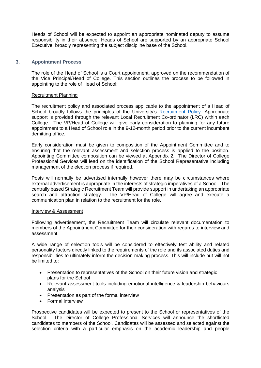Heads of School will be expected to appoint an appropriate nominated deputy to assume responsibility in their absence. Heads of School are supported by an appropriate School Executive, broadly representing the subject discipline base of the School.

# **3. Appointment Process**

The role of the Head of School is a Court appointment, approved on the recommendation of the Vice Principal/Head of College. This section outlines the process to be followed in appointing to the role of Head of School:

#### Recruitment Planning

The recruitment policy and associated process applicable to the appointment of a Head of School broadly follows the principles of the University's [Recruitment Policy.](https://www.gla.ac.uk/myglasgow/humanresources/recruitment/policy/) Appropriate support is provided through the relevant Local Recruitment Co-ordinator (LRC) within each College. The VP/Head of College will give early consideration to planning for any future appointment to a Head of School role in the 9-12-month period prior to the current incumbent demitting office.

Early consideration must be given to composition of the Appointment Committee and to ensuring that the relevant assessment and selection process is applied to the position. Appointing Committee composition can be viewed at Appendix 2. The Director of College Professional Services will lead on the identification of the School Representative including management of the election process if required.

Posts will normally be advertised internally however there may be circumstances where external advertisement is appropriate in the interests of strategic imperatives of a School. The centrally based Strategic Recruitment Team will provide support in undertaking an appropriate search and attraction strategy. The VP/Head of College will agree and execute a communication plan in relation to the recruitment for the role.

#### Interview & Assessment

Following advertisement, the Recruitment Team will circulate relevant documentation to members of the Appointment Committee for their consideration with regards to interview and assessment.

A wide range of selection tools will be considered to effectively test ability and related personality factors directly linked to the requirements of the role and its associated duties and responsibilities to ultimately inform the decision-making process. This will include but will not be limited to:

- Presentation to representatives of the School on their future vision and strategic plans for the School
- Relevant assessment tools including emotional intelligence & leadership behaviours analysis
- Presentation as part of the formal interview
- Formal interview

Prospective candidates will be expected to present to the School or representatives of the School. The Director of College Professional Services will announce the shortlisted candidates to members of the School. Candidates will be assessed and selected against the selection criteria with a particular emphasis on the academic leadership and people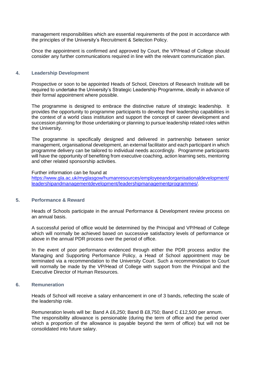management responsibilities which are essential requirements of the post in accordance with the principles of the University's Recruitment & Selection Policy.

Once the appointment is confirmed and approved by Court, the VP/Head of College should consider any further communications required in line with the relevant communication plan.

#### **4. Leadership Development**

Prospective or soon to be appointed Heads of School, Directors of Research Institute will be required to undertake the University's Strategic Leadership Programme, ideally in advance of their formal appointment where possible.

The programme is designed to embrace the distinctive nature of strategic leadership. It provides the opportunity to programme participants to develop their leadership capabilities in the context of a world class institution and support the concept of career development and succession planning for those undertaking or planning to pursue leadership related roles within the University.

The programme is specifically designed and delivered in partnership between senior management, organisational development, an external facilitator and each participant in which programme delivery can be tailored to individual needs accordingly. Programme participants will have the opportunity of benefiting from executive coaching, action learning sets, mentoring and other related sponsorship activities.

#### Further information can be found at

[https://www.gla.ac.uk/myglasgow/humanresources/employeeandorganisationaldevelopment/](https://www.gla.ac.uk/myglasgow/humanresources/employeeandorganisationaldevelopment/leadershipandmanagementdevelopment/leadershipmanagementprogrammes/) [leadershipandmanagementdevelopment/leadershipmanagementprogrammes/.](https://www.gla.ac.uk/myglasgow/humanresources/employeeandorganisationaldevelopment/leadershipandmanagementdevelopment/leadershipmanagementprogrammes/)

#### **5. Performance & Reward**

Heads of Schools participate in the annual Performance & Development review process on an annual basis.

A successful period of office would be determined by the Principal and VP/Head of College which will normally be achieved based on successive satisfactory levels of performance or above in the annual PDR process over the period of office.

In the event of poor performance evidenced through either the PDR process and/or the Managing and Supporting Performance Policy, a Head of School appointment may be terminated via a recommendation to the University Court. Such a recommendation to Court will normally be made by the VP/Head of College with support from the Principal and the Executive Director of Human Resources.

#### **6. Remuneration**

Heads of School will receive a salary enhancement in one of 3 bands, reflecting the scale of the leadership role.

Remuneration levels will be: Band A £6,250; Band B £8,750; Band C £12,500 per annum. The responsibility allowance is pensionable (during the term of office and the period over which a proportion of the allowance is payable beyond the term of office) but will not be consolidated into future salary.